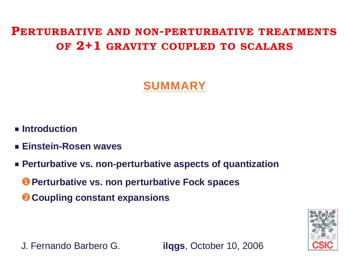<span id="page-0-0"></span>**PERTURBATIVE AND NON-PERTURBATIVE TREATMENTS OF 2+1 GRAVITY COUPLED TO SCALARS**

## **SUMMARY**

- **Introduction**
- **Einstein-Rosen waves**
- **Perturbative vs. non-perturbative aspects of quantization**
	- ❶ **Perturbative vs. non perturbative Fock spaces**
	- ❷ **Coupling constant expansions**



J. Fernando Barbero G. **ilqgs**, October 10, 2006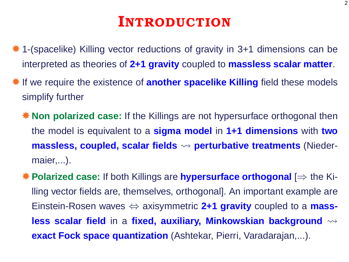# **INTRODUCTION**

- ✹ 1-(spacelike) Killing vector reductions of gravity in 3+1 dimensions can be interpreted as theories of **2+1 gravity** coupled to **massless scalar matter**.
- ✹ If we require the existence of **another spacelike Killing** field these models simplify further
	- ✸ **Non polarized case:** If the Killings are not hypersurface orthogonal then the model is equivalent to a **sigma model** in **1+1 dimensions** with **two massless, coupled, scalar fields perturbative treatments** (Niedermaier,...).
	- ✸ **Polarized case:** If both Killings are **hypersurface orthogonal** [⇒ the Killing vector fields are, themselves, orthogonal]. An important example are Einstein-Rosen waves ⇔ axisymmetric **2+1 gravity** coupled to a **massless scalar field** in a **fixed, auxiliary, Minkowskian background exact Fock space quantization** (Ashtekar, Pierri, Varadarajan,...).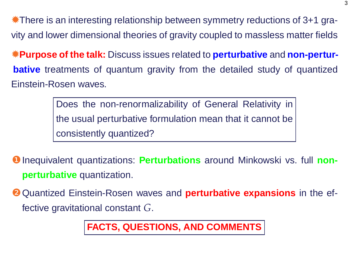✹There is an interesting relationship between symmetry reductions of 3+1 gravity and lower dimensional theories of gravity coupled to massless matter fields

✹**Purpose of the talk:** Discuss issues related to **perturbative** and **non-perturbative** treatments of quantum gravity from the detailed study of quantized Einstein-Rosen waves.

> Does the non-renormalizability of General Relativity in the usual perturbative formulation mean that it cannot be consistently quantized?

- ❶ Inequivalent quantizations: **Perturbations** around Minkowski vs. full **nonperturbative** quantization.
- ❷ Quantized Einstein-Rosen waves and **perturbative expansions** in the effective gravitational constant *G*.

**FACTS, QUESTIONS, AND COMMENTS**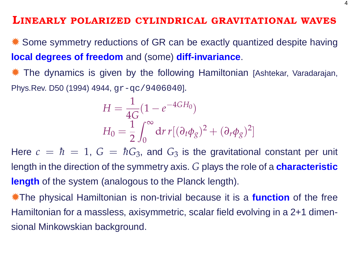#### **LINEARLY POLARIZED CYLINDRICAL GRAVITATIONAL WAVES**

✹ Some symmetry reductions of GR can be exactly quantized despite having **local degrees of freedom** and (some) **diff-invariance**.

The dynamics is given by the following Hamiltonian [Ashtekar, Varadarajan, Phys.Rev. D50 (1994) 4944,  $qr-qc/9406040$ .

$$
H = \frac{1}{4G} (1 - e^{-4GH_0})
$$
  
\n
$$
H_0 = \frac{1}{2} \int_0^\infty dr \, r [(\partial_t \phi_g)^2 + (\partial_r \phi_g)^2]
$$

Here  $c = \hbar = 1$ ,  $G = \hbar G_3$ , and  $G_3$  is the gravitational constant per unit length in the direction of the symmetry axis. *G* plays the role of a **characteristic length** of the system (analogous to the Planck length).

✹The physical Hamiltonian is non-trivial because it is a **function** of the free Hamiltonian for a massless, axisymmetric, scalar field evolving in a 2+1 dimensional Minkowskian background.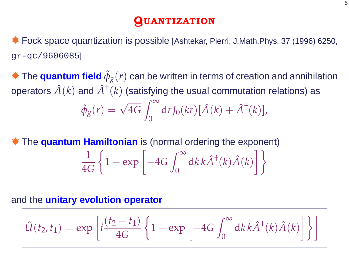## **QUANTIZATION**

✹ Fock space quantization is possible [Ashtekar, Pierri, J.Math.Phys. 37 (1996) 6250, gr-qc/9606085]

 $*$  The **quantum field**  $\hat{\phi}_{g}(r)$  can be written in terms of creation and annihilation operators  $\hat{A}(k)$  and  $\hat{A}^\dagger(k)$  (satisfying the usual commutation relations) as  $\hat{\phi}_g(r) = \sqrt{4G}$  $\int^{\infty}$  $\theta$  $dr J_0(kr) [\hat{A}(k) + \hat{A}^{\dagger}(k)],$ 

✹ The **quantum Hamiltonian** is (normal ordering the exponent) 1 4*G*  $\Big\{1 - \exp \Big[ -4G \Big\}$  $\int^{\infty}$  $\theta$  $dk k \hat{A}^{\dagger}(k) \hat{A}(k)$ 11

#### and the **unitary evolution operator**

$$
\hat{U}(t_2, t_1) = \exp\left[i\frac{(t_2 - t_1)}{4G} \left\{1 - \exp\left[-4G \int_0^\infty dk \, k \hat{A}^\dagger(k) \hat{A}(k)\right]\right\}\right]
$$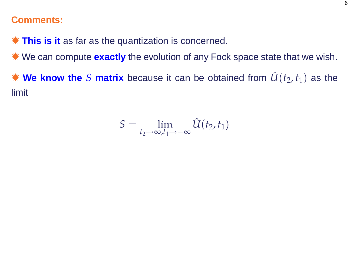#### **Comments:**

✹ **This is it** as far as the quantization is concerned.

✹ We can compute **exactly** the evolution of any Fock space state that we wish.

 $*$  **We know the** *S* matrix because it can be obtained from  $\hat{U}(t_2, t_1)$  as the limit

$$
S = \lim_{t_2 \to \infty, t_1 \to -\infty} \hat{U}(t_2, t_1)
$$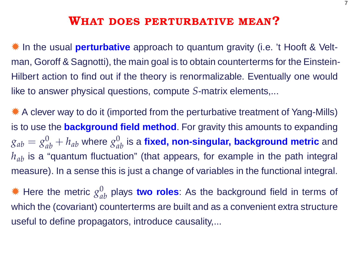## **WHAT DOES PERTURBATIVE MEAN?**

✹ In the usual **perturbative** approach to quantum gravity (i.e. 't Hooft & Veltman, Goroff & Sagnotti), the main goal is to obtain counterterms for the Einstein-Hilbert action to find out if the theory is renormalizable. Eventually one would like to answer physical questions, compute *S*-matrix elements,...

✹ A clever way to do it (imported from the perturbative treatment of Yang-Mills) is to use the **background field method**. For gravity this amounts to expanding  $g_{ab}=g_{ab}^0+h_{ab}$  where  $g_{ab}^0$  is a **fixed, non-singular, background metric** and *h<sub>ab</sub>* is a "quantum fluctuation" (that appears, for example in the path integral measure). In a sense this is just a change of variables in the functional integral.

 $*$  Here the metric  $g_{ab}^0$  plays two roles: As the background field in terms of which the (covariant) counterterms are built and as a convenient extra structure useful to define propagators, introduce causality,...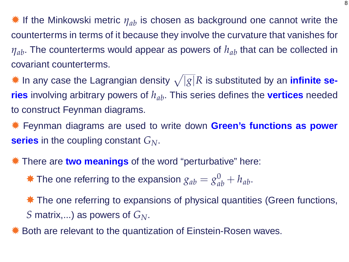**<sup>☀</sup>** If the Minkowski metric  $\eta_{ab}$  is chosen as background one cannot write the counterterms in terms of it because they involve the curvature that vanishes for *η<sub>ab</sub>*. The counterterms would appear as powers of  $h_{ab}$  that can be collected in covariant counterterms.

 $*$  In any case the Lagrangian density  $\sqrt{|g|}R$  is substituted by an *infinite se***ries** involving arbitrary powers of *hab*. This series defines the **vertices** needed to construct Feynman diagrams.

✹ Feynman diagrams are used to write down **Green's functions as power series** in the coupling constant *GN*.

✹ There are **two meanings** of the word "perturbative" here:

 $*$  The one referring to the expansion  $g_{ab} = g_{ab}^0 + h_{ab}$ .

**★ The one referring to expansions of physical quantities (Green functions,** *S* matrix,...) as powers of *GN*.

Both are relevant to the quantization of Einstein-Rosen waves.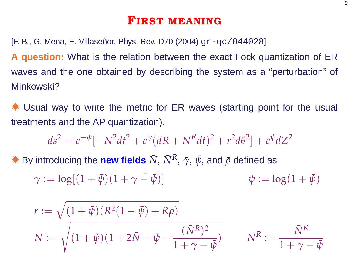### **FIRST MEANING**

[F. B., G. Mena, E. Villaseñor, Phys. Rev. D70 (2004) gr-qc/044028]

**A question:** What is the relation between the exact Fock quantization of ER waves and the one obtained by describing the system as a "perturbation" of Minkowski?

Usual way to write the metric for ER waves (starting point for the usual treatments and the AP quantization).

$$
ds^{2} = e^{-\psi}[-N^{2}dt^{2} + e^{\gamma}(dR + N^{R}dt)^{2} + r^{2}d\theta^{2}] + e^{\psi}dZ^{2}
$$

 $*$  By introducing the new fields  $\bar{N}$ ,  $\bar{N}^R$ ,  $\bar{\gamma}$ ,  $\bar{\psi}$ , and  $\bar{\rho}$  defined as

$$
\gamma := \log[(1+\bar{\psi})(1+\gamma-\bar{\psi})] \qquad \qquad \psi := \log(1+\bar{\psi})
$$

$$
r := \sqrt{(1 + \bar{\psi})(R^2(1 - \bar{\psi}) + R\bar{\rho})}
$$
  

$$
N := \sqrt{(1 + \bar{\psi})(1 + 2\bar{N} - \bar{\psi} - \frac{(\bar{N}^R)^2}{1 + \bar{\gamma} - \bar{\psi}})}
$$
 
$$
N^R := \frac{\bar{N}^R}{1 + \bar{\gamma} - \bar{\psi}}
$$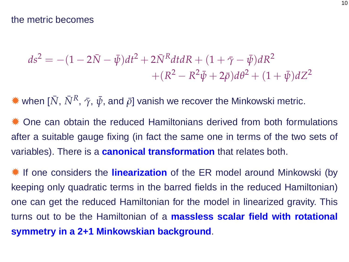$$
ds^{2} = -(1 - 2\bar{N} - \bar{\psi})dt^{2} + 2\bar{N}^{R}dtdR + (1 + \bar{\gamma} - \bar{\psi})dR^{2} + (R^{2} - R^{2}\bar{\psi} + 2\bar{\rho})d\theta^{2} + (1 + \bar{\psi})dZ^{2}
$$

 $*$  when [ $\bar{N}$ ,  $\bar{N}^R$ ,  $\bar{\gamma}$ ,  $\bar{\psi}$ , and  $\bar{\rho}$ ] vanish we recover the Minkowski metric.

✹ One can obtain the reduced Hamiltonians derived from both formulations after a suitable gauge fixing (in fact the same one in terms of the two sets of variables). There is a **canonical transformation** that relates both.

✹ If one considers the **linearization** of the ER model around Minkowski (by keeping only quadratic terms in the barred fields in the reduced Hamiltonian) one can get the reduced Hamiltonian for the model in linearized gravity. This turns out to be the Hamiltonian of a **massless scalar field with rotational symmetry in a 2+1 Minkowskian background**.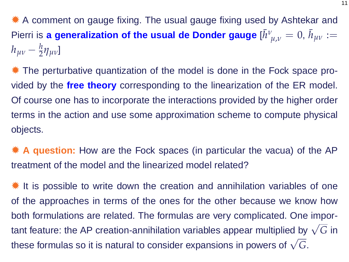✹ A comment on gauge fixing. The usual gauge fixing used by Ashtekar and **Pierri is a generalization of the usual de Donder gauge**  $[\bar{h}^{\nu}]$  $\bar{h}_{\mu,\nu}=0, \, \bar{h}_{\mu\nu}:=0$ *hµν* − *<sup>h</sup>* 2 *ηµν*]

✹ The perturbative quantization of the model is done in the Fock space provided by the **free theory** corresponding to the linearization of the ER model. Of course one has to incorporate the interactions provided by the higher order terms in the action and use some approximation scheme to compute physical objects.

✹ **A question:** How are the Fock spaces (in particular the vacua) of the AP treatment of the model and the linearized model related?

✹ It is possible to write down the creation and annihilation variables of one of the approaches in terms of the ones for the other because we know how both formulations are related. The formulas are very complicated. One important feature: the AP creation-annihilation variables appear multiplied by <sup>√</sup> *G* in these formulas so it is natural to consider expansions in powers of <sup>√</sup> *G*.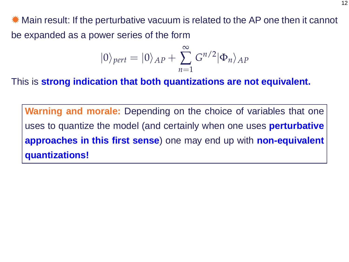✹ Main result: If the perturbative vacuum is related to the AP one then it cannot be expanded as a power series of the form

$$
|0\rangle_{pert}=|0\rangle_{AP}+\sum_{n=1}^{\infty}G^{n/2}|\Phi_n\rangle_{AP}
$$

This is **strong indication that both quantizations are not equivalent.**

**Warning and morale:** Depending on the choice of variables that one uses to quantize the model (and certainly when one uses **perturbative approaches in this first sense**) one may end up with **non-equivalent quantizations!**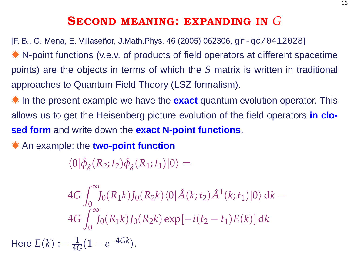## **SECOND MEANING: EXPANDING IN** *G*

[F. B., G. Mena, E. Villaseñor, J.Math.Phys. 46 (2005) 062306, gr-qc/0412028] ✹ N-point functions (v.e.v. of products of field operators at different spacetime points) are the objects in terms of which the *S* matrix is written in traditional approaches to Quantum Field Theory (LSZ formalism).

✹ In the present example we have the **exact** quantum evolution operator. This allows us to get the Heisenberg picture evolution of the field operators **in closed form** and write down the **exact N-point functions**.

✹ An example: the **two-point function**

 $\langle 0 | \hat{\phi}_g(R_2; t_2) \hat{\phi}_g(R_1; t_1) | 0 \rangle =$ 

$$
4G \int_0^{\infty} J_0(R_1k) J_0(R_2k) \langle 0 | \hat{A}(k; t_2) \hat{A}^{\dagger}(k; t_1) | 0 \rangle \, dk =
$$
  

$$
4G \int_0^{\infty} J_0(R_1k) J_0(R_2k) \exp[-i(t_2 - t_1)E(k)] \, dk
$$
  
Here  $E(k) := \frac{1}{4G}(1 - e^{-4Gk}).$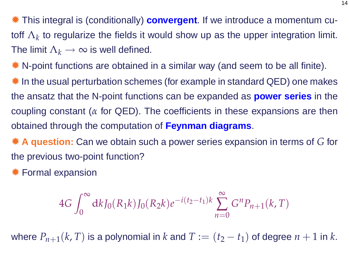✹ This integral is (conditionally) **convergent**. If we introduce a momentum cutoff  $\Lambda_k$  to regularize the fields it would show up as the upper integration limit. The limit  $\Lambda_k \to \infty$  is well defined.

✹ N-point functions are obtained in a similar way (and seem to be all finite).

✹ In the usual perturbation schemes (for example in standard QED) one makes the ansatz that the N-point functions can be expanded as **power series** in the coupling constant (*α* for QED). The coefficients in these expansions are then obtained through the computation of **Feynman diagrams**.

✹ **A question:** Can we obtain such a power series expansion in terms of *G* for the previous two-point function?

✹ Formal expansion

$$
4G \int_0^\infty dk J_0(R_1k) J_0(R_2k) e^{-i(t_2 - t_1)k} \sum_{n=0}^\infty G^n P_{n+1}(k, T)
$$

where  $P_{n+1}(k, T)$  is a polynomial in  $k$  and  $T := (t_2 - t_1)$  of degree  $n + 1$  in  $k$ .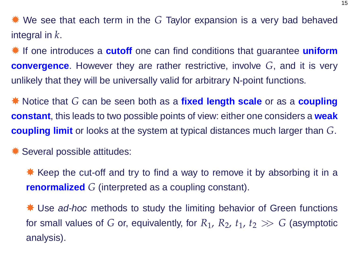✹ We see that each term in the *G* Taylor expansion is a very bad behaved integral in *k*.

✹ If one introduces a **cutoff** one can find conditions that guarantee **uniform convergence**. However they are rather restrictive, involve *G*, and it is very unlikely that they will be universally valid for arbitrary N-point functions.

✸ Notice that *G* can be seen both as a **fixed length scale** or as a **coupling constant**, this leads to two possible points of view: either one considers a **weak coupling limit** or looks at the system at typical distances much larger than *G*.

✹ Several possible attitudes:

**★ Keep the cut-off and try to find a way to remove it by absorbing it in a renormalized** *G* (interpreted as a coupling constant).

**★ Use ad-hoc methods to study the limiting behavior of Green functions** for small values of *G* or, equivalently, for  $R_1$ ,  $R_2$ ,  $t_1$ ,  $t_2 \gg G$  (asymptotic analysis).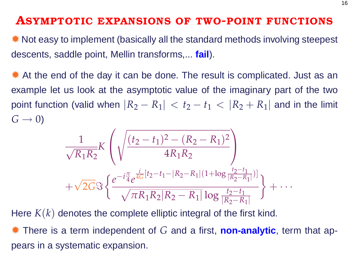#### **ASYMPTOTIC EXPANSIONS OF TWO-POINT FUNCTIONS**

✹ Not easy to implement (basically all the standard methods involving steepest descents, saddle point, Mellin transforms,... **fail**).

✹ At the end of the day it can be done. The result is complicated. Just as an example let us look at the asymptotic value of the imaginary part of the two point function (valid when  $|R_2 - R_1| < t_2 - t_1 < |R_2 + R_1|$  and in the limit  $G \rightarrow 0$ 

$$
\frac{1}{\sqrt{R_1R_2}}K\left(\sqrt{\frac{(t_2-t_1)^2-(R_2-R_1)^2}{4R_1R_2}}\right) + \sqrt{2G}\Im\left\{\frac{e^{-i\frac{\pi}{4}}e^{\frac{i}{4G}[t_2-t_1-|R_2-R_1|(1+\log\frac{t_2-t_1}{|R_2-R_1|})]}}{\sqrt{\pi R_1R_2|R_2-R_1|}\log\frac{t_2-t_1}{|R_2-R_1|}}\right\} + \cdots
$$

Here *K*(*k*) denotes the complete elliptic integral of the first kind.

✹ There is a term independent of *G* and a first, **non-analytic**, term that appears in a systematic expansion.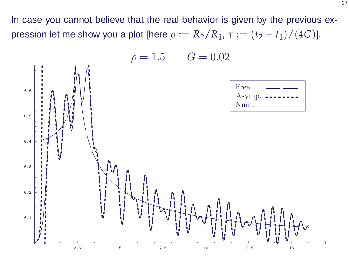In case you cannot believe that the real behavior is given by the previous expression let me show you a plot [here  $\rho := R_2/R_1$ ,  $\tau := (t_2 - t_1)/(4G)$ ].

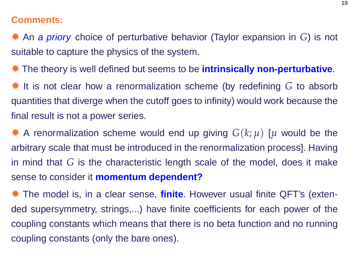#### **Comments:**

✹ An a priory choice of perturbative behavior (Taylor expansion in *G*) is not suitable to capture the physics of the system.

✹ The theory is well defined but seems to be **intrinsically non-perturbative**.

✹ It is not clear how a renormalization scheme (by redefining *G* to absorb quantities that diverge when the cutoff goes to infinity) would work because the final result is not a power series.

 $*$  A renormalization scheme would end up giving  $G(k; \mu)$  [ $\mu$  would be the arbitrary scale that must be introduced in the renormalization process]. Having in mind that *G* is the characteristic length scale of the model, does it make sense to consider it **momentum dependent?**

✹ The model is, in a clear sense, **finite**. However usual finite QFT's (extended supersymmetry, strings,...) have finite coefficients for each power of the coupling constants which means that there is no beta function and no running coupling constants (only the bare ones).